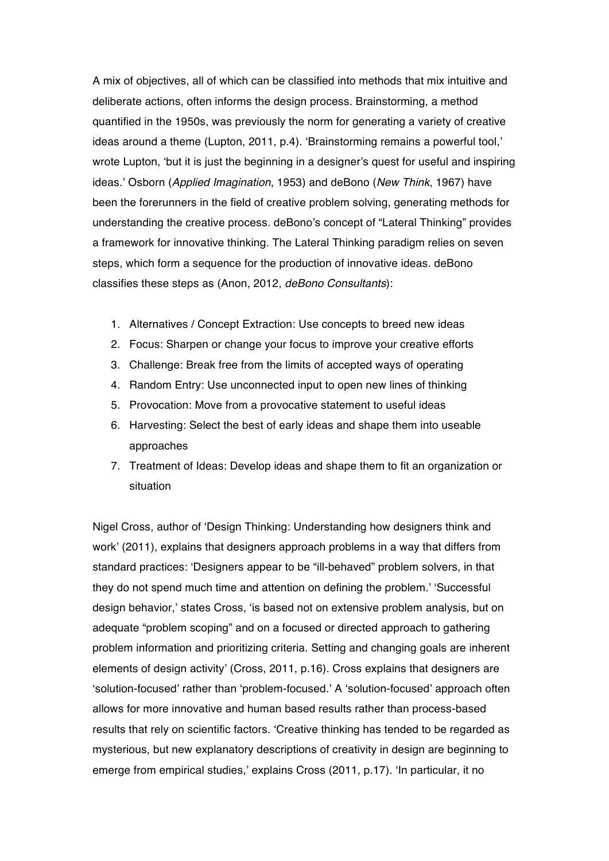A mix of objectives, all of which can be classified into methods that mix intuitive and deliberate actions, often informs the design process. Brainstorming, a method quantified in the 1950s, was previously the norm for generating a variety of creative ideas around a theme (Lupton, 2011, p.4). 'Brainstorming remains a powerful tool,' wrote Lupton, 'but it is just the beginning in a designer's quest for useful and inspiring ideas.' Osborn (*Applied Imagination*, 1953) and deBono (*New Think*, 1967) have been the forerunners in the field of creative problem solving, generating methods for understanding the creative process. deBono's concept of "Lateral Thinking" provides a framework for innovative thinking. The Lateral Thinking paradigm relies on seven steps, which form a sequence for the production of innovative ideas. deBono classifies these steps as (Anon, 2012, *deBono Consultants*):

- 1. Alternatives / Concept Extraction: Use concepts to breed new ideas
- 2. Focus: Sharpen or change your focus to improve your creative efforts
- 3. Challenge: Break free from the limits of accepted ways of operating
- 4. Random Entry: Use unconnected input to open new lines of thinking
- 5. Provocation: Move from a provocative statement to useful ideas
- 6. Harvesting: Select the best of early ideas and shape them into useable approaches
- 7. Treatment of Ideas: Develop ideas and shape them to fit an organization or situation

Nigel Cross, author of 'Design Thinking: Understanding how designers think and work' (2011), explains that designers approach problems in a way that differs from standard practices: 'Designers appear to be "ill-behaved" problem solvers, in that they do not spend much time and attention on defining the problem.' 'Successful design behavior,' states Cross, 'is based not on extensive problem analysis, but on adequate "problem scoping" and on a focused or directed approach to gathering problem information and prioritizing criteria. Setting and changing goals are inherent elements of design activity' (Cross, 2011, p.16). Cross explains that designers are 'solution-focused' rather than 'problem-focused.' A 'solution-focused' approach often allows for more innovative and human based results rather than process-based results that rely on scientific factors. 'Creative thinking has tended to be regarded as mysterious, but new explanatory descriptions of creativity in design are beginning to emerge from empirical studies,' explains Cross (2011, p.17). 'In particular, it no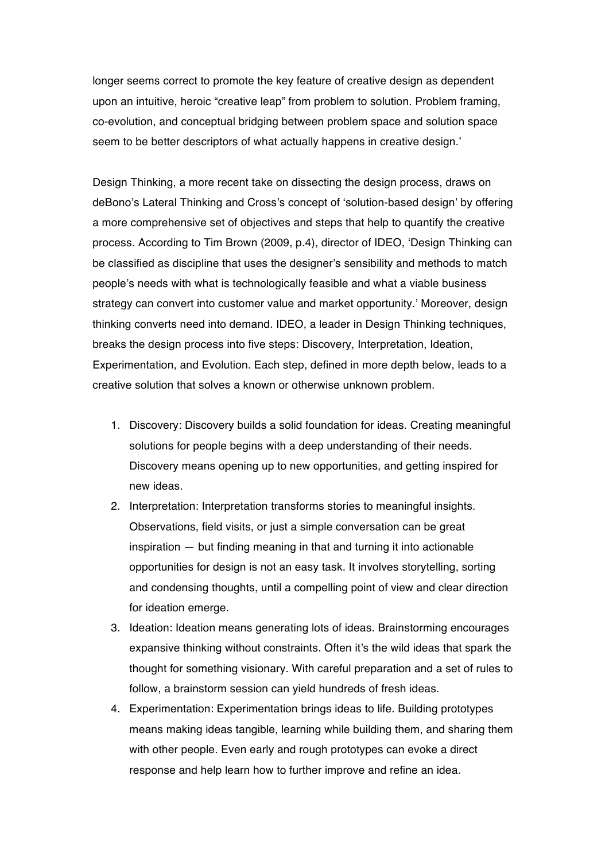longer seems correct to promote the key feature of creative design as dependent upon an intuitive, heroic "creative leap" from problem to solution. Problem framing, co-evolution, and conceptual bridging between problem space and solution space seem to be better descriptors of what actually happens in creative design.'

Design Thinking, a more recent take on dissecting the design process, draws on deBono's Lateral Thinking and Cross's concept of 'solution-based design' by offering a more comprehensive set of objectives and steps that help to quantify the creative process. According to Tim Brown (2009, p.4), director of IDEO, 'Design Thinking can be classified as discipline that uses the designer's sensibility and methods to match people's needs with what is technologically feasible and what a viable business strategy can convert into customer value and market opportunity.' Moreover, design thinking converts need into demand. IDEO, a leader in Design Thinking techniques, breaks the design process into five steps: Discovery, Interpretation, Ideation, Experimentation, and Evolution. Each step, defined in more depth below, leads to a creative solution that solves a known or otherwise unknown problem.

- 1. Discovery: Discovery builds a solid foundation for ideas. Creating meaningful solutions for people begins with a deep understanding of their needs. Discovery means opening up to new opportunities, and getting inspired for new ideas.
- 2. Interpretation: Interpretation transforms stories to meaningful insights. Observations, field visits, or just a simple conversation can be great inspiration — but finding meaning in that and turning it into actionable opportunities for design is not an easy task. It involves storytelling, sorting and condensing thoughts, until a compelling point of view and clear direction for ideation emerge.
- 3. Ideation: Ideation means generating lots of ideas. Brainstorming encourages expansive thinking without constraints. Often it's the wild ideas that spark the thought for something visionary. With careful preparation and a set of rules to follow, a brainstorm session can yield hundreds of fresh ideas.
- 4. Experimentation: Experimentation brings ideas to life. Building prototypes means making ideas tangible, learning while building them, and sharing them with other people. Even early and rough prototypes can evoke a direct response and help learn how to further improve and refine an idea.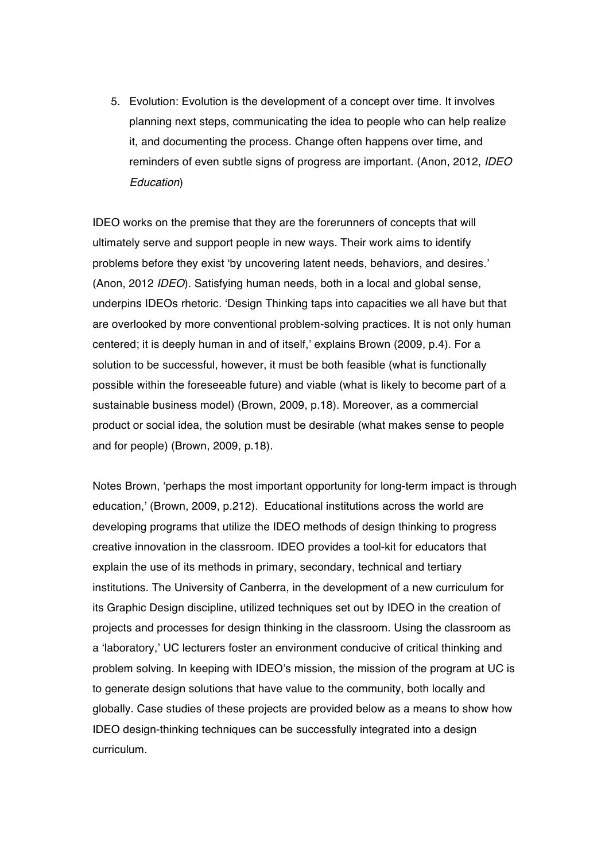5. Evolution: Evolution is the development of a concept over time. It involves planning next steps, communicating the idea to people who can help realize it, and documenting the process. Change often happens over time, and reminders of even subtle signs of progress are important. (Anon, 2012, *IDEO Education*)

IDEO works on the premise that they are the forerunners of concepts that will ultimately serve and support people in new ways. Their work aims to identify problems before they exist 'by uncovering latent needs, behaviors, and desires.' (Anon, 2012 *IDEO*). Satisfying human needs, both in a local and global sense, underpins IDEOs rhetoric. 'Design Thinking taps into capacities we all have but that are overlooked by more conventional problem-solving practices. It is not only human centered; it is deeply human in and of itself,' explains Brown (2009, p.4). For a solution to be successful, however, it must be both feasible (what is functionally possible within the foreseeable future) and viable (what is likely to become part of a sustainable business model) (Brown, 2009, p.18). Moreover, as a commercial product or social idea, the solution must be desirable (what makes sense to people and for people) (Brown, 2009, p.18).

Notes Brown, 'perhaps the most important opportunity for long-term impact is through education,' (Brown, 2009, p.212). Educational institutions across the world are developing programs that utilize the IDEO methods of design thinking to progress creative innovation in the classroom. IDEO provides a tool-kit for educators that explain the use of its methods in primary, secondary, technical and tertiary institutions. The University of Canberra, in the development of a new curriculum for its Graphic Design discipline, utilized techniques set out by IDEO in the creation of projects and processes for design thinking in the classroom. Using the classroom as a 'laboratory,' UC lecturers foster an environment conducive of critical thinking and problem solving. In keeping with IDEO's mission, the mission of the program at UC is to generate design solutions that have value to the community, both locally and globally. Case studies of these projects are provided below as a means to show how IDEO design-thinking techniques can be successfully integrated into a design curriculum.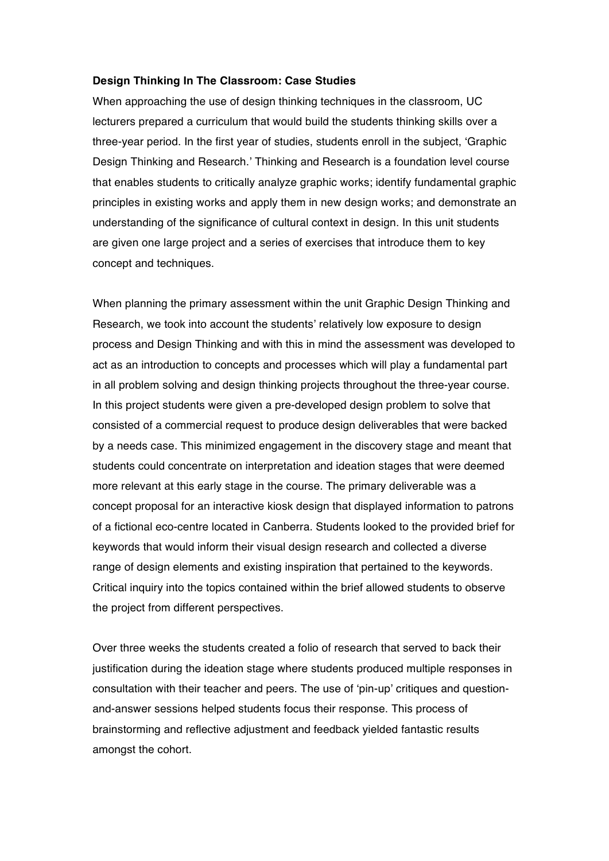## **Design Thinking In The Classroom: Case Studies**

When approaching the use of design thinking techniques in the classroom, UC lecturers prepared a curriculum that would build the students thinking skills over a three-year period. In the first year of studies, students enroll in the subject, 'Graphic Design Thinking and Research.' Thinking and Research is a foundation level course that enables students to critically analyze graphic works; identify fundamental graphic principles in existing works and apply them in new design works; and demonstrate an understanding of the significance of cultural context in design. In this unit students are given one large project and a series of exercises that introduce them to key concept and techniques.

When planning the primary assessment within the unit Graphic Design Thinking and Research, we took into account the students' relatively low exposure to design process and Design Thinking and with this in mind the assessment was developed to act as an introduction to concepts and processes which will play a fundamental part in all problem solving and design thinking projects throughout the three-year course. In this project students were given a pre-developed design problem to solve that consisted of a commercial request to produce design deliverables that were backed by a needs case. This minimized engagement in the discovery stage and meant that students could concentrate on interpretation and ideation stages that were deemed more relevant at this early stage in the course. The primary deliverable was a concept proposal for an interactive kiosk design that displayed information to patrons of a fictional eco-centre located in Canberra. Students looked to the provided brief for keywords that would inform their visual design research and collected a diverse range of design elements and existing inspiration that pertained to the keywords. Critical inquiry into the topics contained within the brief allowed students to observe the project from different perspectives.

Over three weeks the students created a folio of research that served to back their justification during the ideation stage where students produced multiple responses in consultation with their teacher and peers. The use of 'pin-up' critiques and questionand-answer sessions helped students focus their response. This process of brainstorming and reflective adjustment and feedback yielded fantastic results amongst the cohort.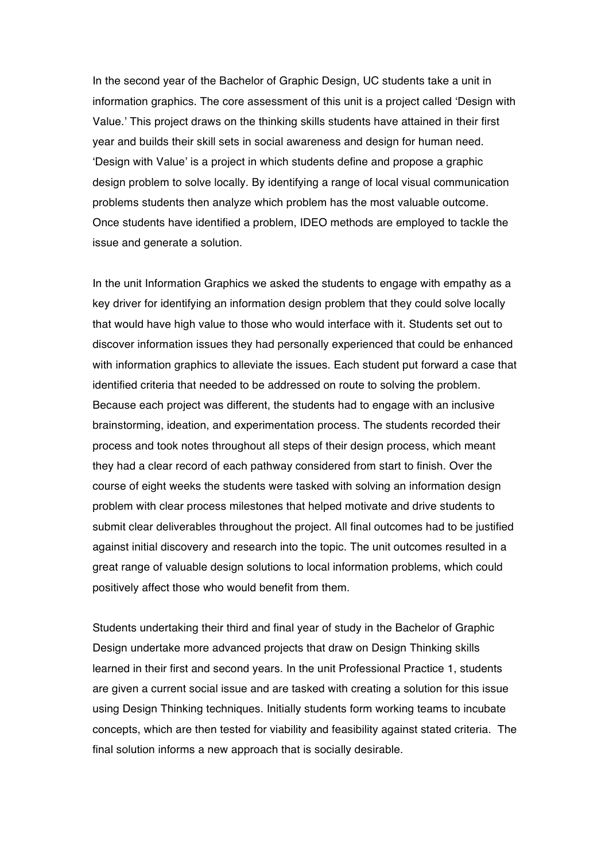In the second year of the Bachelor of Graphic Design, UC students take a unit in information graphics. The core assessment of this unit is a project called 'Design with Value.' This project draws on the thinking skills students have attained in their first year and builds their skill sets in social awareness and design for human need. 'Design with Value' is a project in which students define and propose a graphic design problem to solve locally. By identifying a range of local visual communication problems students then analyze which problem has the most valuable outcome. Once students have identified a problem, IDEO methods are employed to tackle the issue and generate a solution.

In the unit Information Graphics we asked the students to engage with empathy as a key driver for identifying an information design problem that they could solve locally that would have high value to those who would interface with it. Students set out to discover information issues they had personally experienced that could be enhanced with information graphics to alleviate the issues. Each student put forward a case that identified criteria that needed to be addressed on route to solving the problem. Because each project was different, the students had to engage with an inclusive brainstorming, ideation, and experimentation process. The students recorded their process and took notes throughout all steps of their design process, which meant they had a clear record of each pathway considered from start to finish. Over the course of eight weeks the students were tasked with solving an information design problem with clear process milestones that helped motivate and drive students to submit clear deliverables throughout the project. All final outcomes had to be justified against initial discovery and research into the topic. The unit outcomes resulted in a great range of valuable design solutions to local information problems, which could positively affect those who would benefit from them.

Students undertaking their third and final year of study in the Bachelor of Graphic Design undertake more advanced projects that draw on Design Thinking skills learned in their first and second years. In the unit Professional Practice 1, students are given a current social issue and are tasked with creating a solution for this issue using Design Thinking techniques. Initially students form working teams to incubate concepts, which are then tested for viability and feasibility against stated criteria. The final solution informs a new approach that is socially desirable.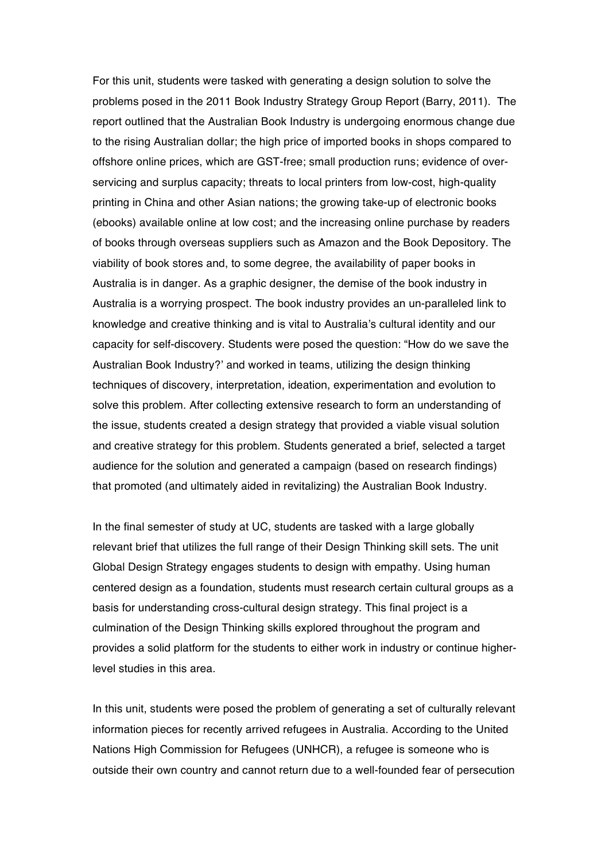For this unit, students were tasked with generating a design solution to solve the problems posed in the 2011 Book Industry Strategy Group Report (Barry, 2011). The report outlined that the Australian Book Industry is undergoing enormous change due to the rising Australian dollar; the high price of imported books in shops compared to offshore online prices, which are GST-free; small production runs; evidence of overservicing and surplus capacity; threats to local printers from low-cost, high-quality printing in China and other Asian nations; the growing take-up of electronic books (ebooks) available online at low cost; and the increasing online purchase by readers of books through overseas suppliers such as Amazon and the Book Depository. The viability of book stores and, to some degree, the availability of paper books in Australia is in danger. As a graphic designer, the demise of the book industry in Australia is a worrying prospect. The book industry provides an un-paralleled link to knowledge and creative thinking and is vital to Australia's cultural identity and our capacity for self-discovery. Students were posed the question: "How do we save the Australian Book Industry?' and worked in teams, utilizing the design thinking techniques of discovery, interpretation, ideation, experimentation and evolution to solve this problem. After collecting extensive research to form an understanding of the issue, students created a design strategy that provided a viable visual solution and creative strategy for this problem. Students generated a brief, selected a target audience for the solution and generated a campaign (based on research findings) that promoted (and ultimately aided in revitalizing) the Australian Book Industry.

In the final semester of study at UC, students are tasked with a large globally relevant brief that utilizes the full range of their Design Thinking skill sets. The unit Global Design Strategy engages students to design with empathy. Using human centered design as a foundation, students must research certain cultural groups as a basis for understanding cross-cultural design strategy. This final project is a culmination of the Design Thinking skills explored throughout the program and provides a solid platform for the students to either work in industry or continue higherlevel studies in this area.

In this unit, students were posed the problem of generating a set of culturally relevant information pieces for recently arrived refugees in Australia. According to the United Nations High Commission for Refugees (UNHCR), a refugee is someone who is outside their own country and cannot return due to a well-founded fear of persecution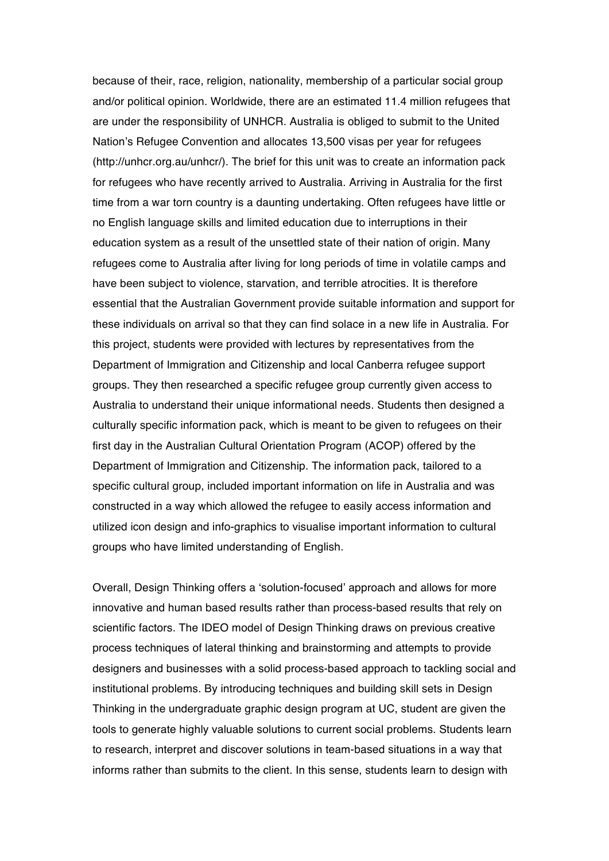because of their, race, religion, nationality, membership of a particular social group and/or political opinion. Worldwide, there are an estimated 11.4 million refugees that are under the responsibility of UNHCR. Australia is obliged to submit to the United Nation's Refugee Convention and allocates 13,500 visas per year for refugees (http://unhcr.org.au/unhcr/). The brief for this unit was to create an information pack for refugees who have recently arrived to Australia. Arriving in Australia for the first time from a war torn country is a daunting undertaking. Often refugees have little or no English language skills and limited education due to interruptions in their education system as a result of the unsettled state of their nation of origin. Many refugees come to Australia after living for long periods of time in volatile camps and have been subject to violence, starvation, and terrible atrocities. It is therefore essential that the Australian Government provide suitable information and support for these individuals on arrival so that they can find solace in a new life in Australia. For this project, students were provided with lectures by representatives from the Department of Immigration and Citizenship and local Canberra refugee support groups. They then researched a specific refugee group currently given access to Australia to understand their unique informational needs. Students then designed a culturally specific information pack, which is meant to be given to refugees on their first day in the Australian Cultural Orientation Program (ACOP) offered by the Department of Immigration and Citizenship. The information pack, tailored to a specific cultural group, included important information on life in Australia and was constructed in a way which allowed the refugee to easily access information and utilized icon design and info-graphics to visualise important information to cultural groups who have limited understanding of English.

Overall, Design Thinking offers a 'solution-focused' approach and allows for more innovative and human based results rather than process-based results that rely on scientific factors. The IDEO model of Design Thinking draws on previous creative process techniques of lateral thinking and brainstorming and attempts to provide designers and businesses with a solid process-based approach to tackling social and institutional problems. By introducing techniques and building skill sets in Design Thinking in the undergraduate graphic design program at UC, student are given the tools to generate highly valuable solutions to current social problems. Students learn to research, interpret and discover solutions in team-based situations in a way that informs rather than submits to the client. In this sense, students learn to design with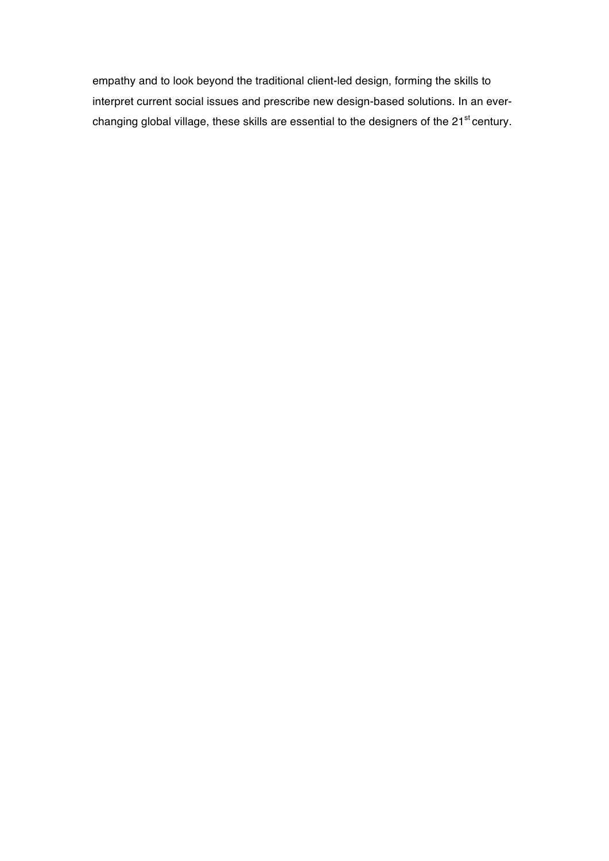empathy and to look beyond the traditional client-led design, forming the skills to interpret current social issues and prescribe new design-based solutions. In an everchanging global village, these skills are essential to the designers of the 21<sup>st</sup> century.